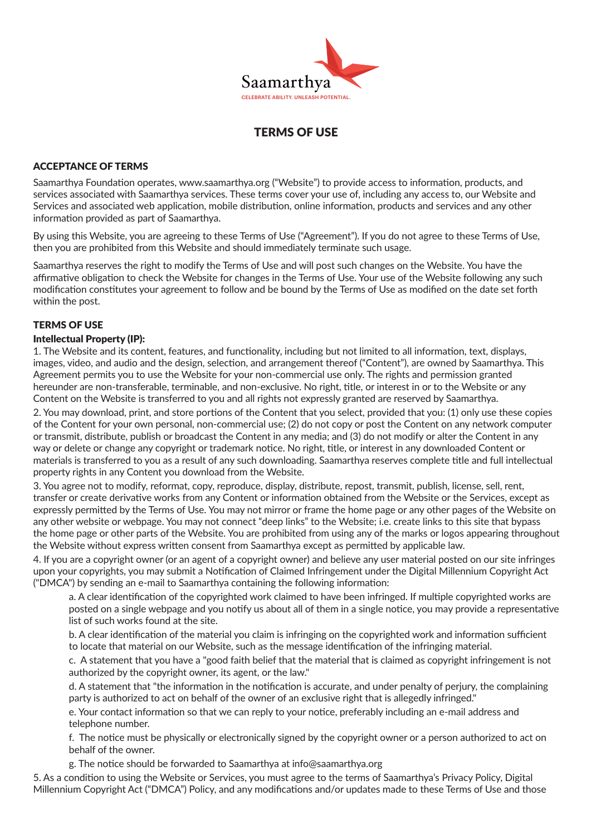

# TERMS OF USE

### ACCEPTANCE OF TERMS

Saamarthya Foundation operates, www.saamarthya.org ("Website") to provide access to information, products, and services associated with Saamarthya services. These terms cover your use of, including any access to, our Website and Services and associated web application, mobile distribution, online information, products and services and any other information provided as part of Saamarthya.

By using this Website, you are agreeing to these Terms of Use ("Agreement"). If you do not agree to these Terms of Use, then you are prohibited from this Website and should immediately terminate such usage.

Saamarthya reserves the right to modify the Terms of Use and will post such changes on the Website. You have the affirmative obligation to check the Website for changes in the Terms of Use. Your use of the Website following any such modification constitutes your agreement to follow and be bound by the Terms of Use as modified on the date set forth within the post.

#### TERMS OF USE

#### Intellectual Property (IP):

1. The Website and its content, features, and functionality, including but not limited to all information, text, displays, images, video, and audio and the design, selection, and arrangement thereof ("Content"), are owned by Saamarthya. This Agreement permits you to use the Website for your non-commercial use only. The rights and permission granted hereunder are non-transferable, terminable, and non-exclusive. No right, title, or interest in or to the Website or any Content on the Website is transferred to you and all rights not expressly granted are reserved by Saamarthya.

2. You may download, print, and store portions of the Content that you select, provided that you: (1) only use these copies of the Content for your own personal, non-commercial use; (2) do not copy or post the Content on any network computer or transmit, distribute, publish or broadcast the Content in any media; and (3) do not modify or alter the Content in any way or delete or change any copyright or trademark notice. No right, title, or interest in any downloaded Content or materials is transferred to you as a result of any such downloading. Saamarthya reserves complete title and full intellectual property rights in any Content you download from the Website.

3. You agree not to modify, reformat, copy, reproduce, display, distribute, repost, transmit, publish, license, sell, rent, transfer or create derivative works from any Content or information obtained from the Website or the Services, except as expressly permitted by the Terms of Use. You may not mirror or frame the home page or any other pages of the Website on any other website or webpage. You may not connect "deep links" to the Website; i.e. create links to this site that bypass the home page or other parts of the Website. You are prohibited from using any of the marks or logos appearing throughout the Website without express written consent from Saamarthya except as permitted by applicable law.

4. If you are a copyright owner (or an agent of a copyright owner) and believe any user material posted on our site infringes upon your copyrights, you may submit a Notification of Claimed Infringement under the Digital Millennium Copyright Act ("DMCA") by sending an e-mail to Saamarthya containing the following information:

 a. A clear identification of the copyrighted work claimed to have been infringed. If multiple copyrighted works are posted on a single webpage and you notify us about all of them in a single notice, you may provide a representative list of such works found at the site.

 b. A clear identification of the material you claim is infringing on the copyrighted work and information sufficient to locate that material on our Website, such as the message identification of the infringing material.

 c. A statement that you have a "good faith belief that the material that is claimed as copyright infringement is not authorized by the copyright owner, its agent, or the law."

 d. A statement that "the information in the notification is accurate, and under penalty of perjury, the complaining party is authorized to act on behalf of the owner of an exclusive right that is allegedly infringed."

 e. Your contact information so that we can reply to your notice, preferably including an e-mail address and telephone number.

 f. The notice must be physically or electronically signed by the copyright owner or a person authorized to act on behalf of the owner.

g. The notice should be forwarded to Saamarthya at info@saamarthya.org

5. As a condition to using the Website or Services, you must agree to the terms of Saamarthya's Privacy Policy, Digital Millennium Copyright Act ("DMCA") Policy, and any modifications and/or updates made to these Terms of Use and those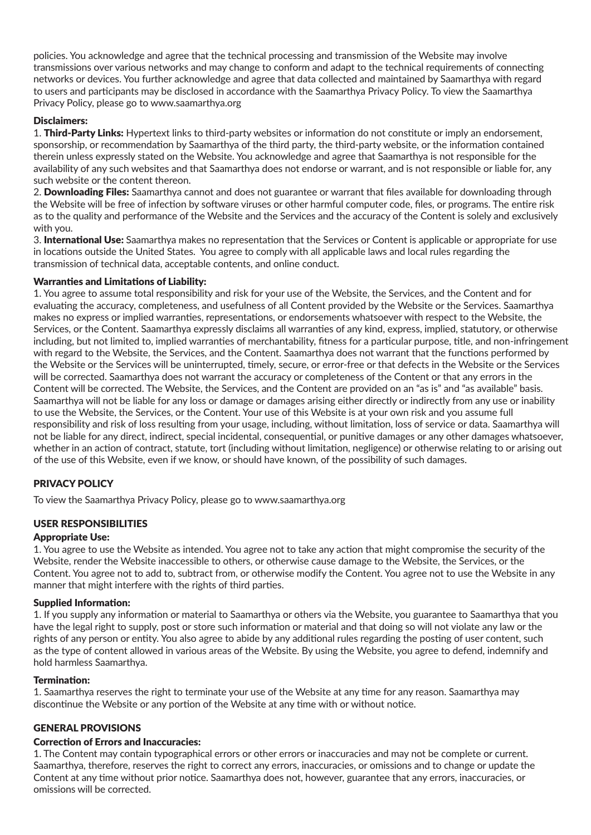policies. You acknowledge and agree that the technical processing and transmission of the Website may involve transmissions over various networks and may change to conform and adapt to the technical requirements of connecting networks or devices. You further acknowledge and agree that data collected and maintained by Saamarthya with regard to users and participants may be disclosed in accordance with the Saamarthya Privacy Policy. To view the Saamarthya Privacy Policy, please go to www.saamarthya.org

### Disclaimers:

1. Third-Party Links: Hypertext links to third-party websites or information do not constitute or imply an endorsement, sponsorship, or recommendation by Saamarthya of the third party, the third-party website, or the information contained therein unless expressly stated on the Website. You acknowledge and agree that Saamarthya is not responsible for the availability of any such websites and that Saamarthya does not endorse or warrant, and is not responsible or liable for, any such website or the content thereon.

2. Downloading Files: Saamarthya cannot and does not guarantee or warrant that files available for downloading through the Website will be free of infection by software viruses or other harmful computer code, files, or programs. The entire risk as to the quality and performance of the Website and the Services and the accuracy of the Content is solely and exclusively with you.

3. International Use: Saamarthya makes no representation that the Services or Content is applicable or appropriate for use in locations outside the United States. You agree to comply with all applicable laws and local rules regarding the transmission of technical data, acceptable contents, and online conduct.

#### Warranties and Limitations of Liability:

1. You agree to assume total responsibility and risk for your use of the Website, the Services, and the Content and for evaluating the accuracy, completeness, and usefulness of all Content provided by the Website or the Services. Saamarthya makes no express or implied warranties, representations, or endorsements whatsoever with respect to the Website, the Services, or the Content. Saamarthya expressly disclaims all warranties of any kind, express, implied, statutory, or otherwise including, but not limited to, implied warranties of merchantability, fitness for a particular purpose, title, and non-infringement with regard to the Website, the Services, and the Content. Saamarthya does not warrant that the functions performed by the Website or the Services will be uninterrupted, timely, secure, or error-free or that defects in the Website or the Services will be corrected. Saamarthya does not warrant the accuracy or completeness of the Content or that any errors in the Content will be corrected. The Website, the Services, and the Content are provided on an "as is" and "as available" basis. Saamarthya will not be liable for any loss or damage or damages arising either directly or indirectly from any use or inability to use the Website, the Services, or the Content. Your use of this Website is at your own risk and you assume full responsibility and risk of loss resulting from your usage, including, without limitation, loss of service or data. Saamarthya will not be liable for any direct, indirect, special incidental, consequential, or punitive damages or any other damages whatsoever, whether in an action of contract, statute, tort (including without limitation, negligence) or otherwise relating to or arising out of the use of this Website, even if we know, or should have known, of the possibility of such damages.

## PRIVACY POLICY

To view the Saamarthya Privacy Policy, please go to www.saamarthya.org

## USER RESPONSIBILITIES

#### Appropriate Use:

1. You agree to use the Website as intended. You agree not to take any action that might compromise the security of the Website, render the Website inaccessible to others, or otherwise cause damage to the Website, the Services, or the Content. You agree not to add to, subtract from, or otherwise modify the Content. You agree not to use the Website in any manner that might interfere with the rights of third parties.

#### Supplied Information:

1. If you supply any information or material to Saamarthya or others via the Website, you guarantee to Saamarthya that you have the legal right to supply, post or store such information or material and that doing so will not violate any law or the rights of any person or entity. You also agree to abide by any additional rules regarding the posting of user content, such as the type of content allowed in various areas of the Website. By using the Website, you agree to defend, indemnify and hold harmless Saamarthya.

#### Termination:

1. Saamarthya reserves the right to terminate your use of the Website at any time for any reason. Saamarthya may discontinue the Website or any portion of the Website at any time with or without notice.

#### GENERAL PROVISIONS

#### Correction of Errors and Inaccuracies:

1. The Content may contain typographical errors or other errors or inaccuracies and may not be complete or current. Saamarthya, therefore, reserves the right to correct any errors, inaccuracies, or omissions and to change or update the Content at any time without prior notice. Saamarthya does not, however, guarantee that any errors, inaccuracies, or omissions will be corrected.